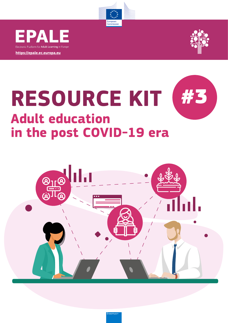

**[https://epale.ec.europa.eu](https://epale.ec.europa.eu/)**

Electronic Platform for **Adult Learning** in Euro

EPALE



# **RESOURCE KIT #3 Adult education in the post COVID-19 era**



 $ins$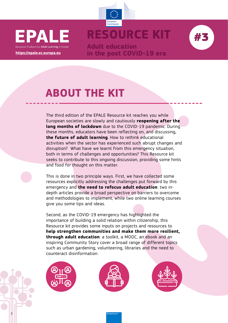



**Adult education in the post COVID-19 era**

# **ABOUT THE KIT**

**https://epale.ec.europa.eu**

Electronic Platform for Adult Learning in Euron

E PA

The third edition of the EPALE Resource kit reaches you while European societies are slowly and cautiously **reopening after the long months of lockdown** due to the COVID-19 pandemic. During these months, educators have been reflecting on, and discussing, **the future of adult learning**. How to rethink educational activities when the sector has experienced such abrupt changes and disruption? What have we learnt from this emergency situation, both in terms of challenges and opportunities? This Resource kit seeks to contribute to this ongoing discussion, providing some hints and food for thought on this matter.

This is done in two principle ways. First, we have collected some resources explicitly addressing the challenges put forward by this emergency and **the need to refocus adult education**: two indepth articles provide a broad perspective on barriers to overcome and methodologies to implement, while two online learning courses give you some tips and ideas.

Second, as the COVID-19 emergency has highlighted the importance of building a solid relation within citizenship, this Resource kit provides some inputs on projects and resources to **help strengthen communities and make them more resilient, through adult education**: a toolkit, a MOOC, an ebook and an inspiring Community Story cover a broad range of different topics such as urban gardening, volunteering, libraries and the need to counteract disinformation.



2





rasmus-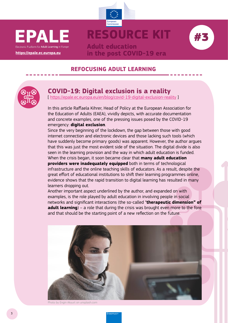





**Adult education in the post COVID-19 era**

#### **REFOCUSING ADULT LEARNING**



#### **COVID-19: Digital exclusion is a reality**

[<https://epale.ec.europa.eu/en/blog/covid-19-digital-exclusion-reality> ]

In this article Raffaela Kihrer, Head of Policy at the European Association for the Education of Adults (EAEA), vividly depicts, with accurate documentation and concrete examples, one of the pressing issues posed by the COVID-19 emergency: **digital exclusion**.

Since the very beginning of the lockdown, the gap between those with good internet connection and electronic devices and those lacking such tools (which have suddenly become primary goods) was apparent. However, the author argues that this was just the most evident side of the situation. The digital divide is also seen in the learning provision and the way in which adult education is funded. When the crisis began, it soon became clear that **many adult education providers were inadequately equipped** both in terms of technological infrastructure and the online teaching skills of educators. As a result, despite the great effort of educational institutions to shift their learning programmes online, evidence shows that the rapid transition to digital learning has resulted in many learners dropping out.

Another important aspect underlined by the author, and expanded on with examples, is the role played by adult education in involving people in social networks and significant interactions (the so-called "**therapeutic dimension" of adult learning**) – a role that during the crisis was brought even more to the fore and that should be the starting point of a new reflection on the future.



Photo by Engin Akyurt on unsplash.com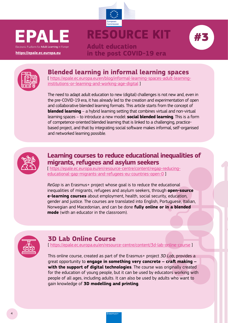

## European<br>Commission **RESOURCE KIT**



**Adult education in the post COVID-19 era**



### **Blended learning in informal learning spaces**

[ [https://epale.ec.europa.eu/en/blog/informal-learning-spaces-adult-learning](https://epale.ec.europa.eu/en/blog/informal-learning-spaces-adult-learning-institutions-or-learning-and-working-age-digital)[institutions-or-learning-and-working-age-digital](https://epale.ec.europa.eu/en/blog/informal-learning-spaces-adult-learning-institutions-or-learning-and-working-age-digital) ]

The need to adapt adult education to new (digital) challenges is not new and, even in the pre-COVID-19 era, it has already led to the creation and experimentation of open and collaborative blended learning formats. This article starts from the concept of **blended learning** – a hybrid learning setting that combines virtual and non-virtual learning spaces – to introduce a new model: **social blended learning**. This is a form of competence-oriented blended learning that is linked to a challenging, practicebased project, and that by integrating social software makes informal, self-organised and networked learning possible.



### **Learning courses to reduce educational inequalities of migrants, refugees and asylum seekers**

[ [https://epale.ec.europa.eu/en/resource-centre/content/regap-reducing](https://epale.ec.europa.eu/en/resource-centre/content/regap-reducing-educational-gap-migrants-and-refugees-eu-countries-open-0)[educational-gap-migrants-and-refugees-eu-countries-open-0](https://epale.ec.europa.eu/en/resource-centre/content/regap-reducing-educational-gap-migrants-and-refugees-eu-countries-open-0) ]

*ReGap* is an Erasmus+ project whose goal is to reduce the educational inequalities of migrants, refugees and asylum seekers, through **open-source e-learning courses** about employment, health, social security, education, gender and justice. The courses are translated into English, Portuguese, Italian, Norwegian and Macedonian, and can be done **fully online or in a blended mode** (with an educator in the classroom).



### **3D Lab Online Course**

[ <https://epale.ec.europa.eu/en/resource-centre/content/3d-lab-online-course> ]

This online course, created as part of the Erasmus+ project *3D Lab*, provides a great opportunity to **engage in something very concrete – craft making – with the support of digital technologies**. The course was originally created for the education of young people, but it can be used by educators working with people of all ages, including adults. It can also be used by adults who want to gain knowledge of **3D modelling and printing**.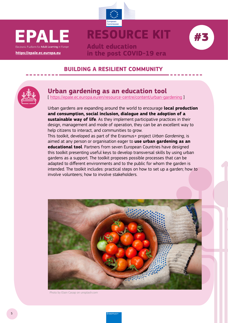





## **in the post COVID-19 era**

### **BUILDING A RESILIENT COMMUNITY**

**Adult education**



#### **Urban gardening as an education tool**

[<https://epale.ec.europa.eu/en/resource-centre/content/urban-gardening> ]

Urban gardens are expanding around the world to encourage **local production and consumption, social inclusion, dialogue and the adoption of a sustainable way of life**. As they implement participative practices in their design, management and mode of operation, they can be an excellent way to help citizens to interact, and communities to grow.

This toolkit, developed as part of the Erasmus+ project *Urban Gardening*, is aimed at any person or organisation eager to **use urban gardening as an educational tool**. Partners from seven European Countries have designed this toolkit presenting useful keys to develop transversal skills by using urban gardens as a support. The toolkit proposes possible processes that can be adapted to different environments and to the public for whom the garden is intended. The toolkit includes: practical steps on how to set up a garden; how to involve volunteers; how to involve stakeholders.



Photo by Elain Casap on unsplash.com